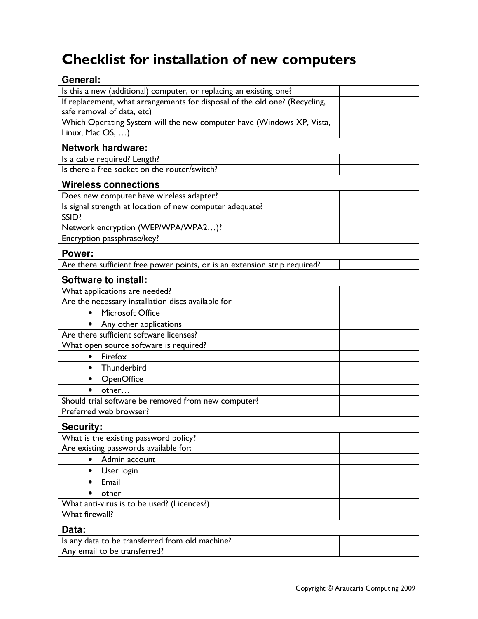## Checklist for installation of new computers

| General:                                                                   |  |
|----------------------------------------------------------------------------|--|
| Is this a new (additional) computer, or replacing an existing one?         |  |
| If replacement, what arrangements for disposal of the old one? (Recycling, |  |
| safe removal of data, etc)                                                 |  |
| Which Operating System will the new computer have (Windows XP, Vista,      |  |
| Linux, Mac OS, )                                                           |  |
| <b>Network hardware:</b>                                                   |  |
| Is a cable required? Length?                                               |  |
| Is there a free socket on the router/switch?                               |  |
| <b>Wireless connections</b>                                                |  |
| Does new computer have wireless adapter?                                   |  |
| Is signal strength at location of new computer adequate?                   |  |
| SSID?                                                                      |  |
| Network encryption (WEP/WPA/WPA2)?                                         |  |
| Encryption passphrase/key?                                                 |  |
| Power:                                                                     |  |
| Are there sufficient free power points, or is an extension strip required? |  |
| <b>Software to install:</b>                                                |  |
| What applications are needed?                                              |  |
| Are the necessary installation discs available for                         |  |
| <b>Microsoft Office</b><br>$\bullet$                                       |  |
| Any other applications                                                     |  |
| Are there sufficient software licenses?                                    |  |
| What open source software is required?                                     |  |
| Firefox<br>$\bullet$                                                       |  |
| Thunderbird<br>$\bullet$                                                   |  |
| OpenOffice<br>$\bullet$                                                    |  |
| other                                                                      |  |
| Should trial software be removed from new computer?                        |  |
| Preferred web browser?                                                     |  |
| <b>Security:</b>                                                           |  |
| What is the existing password policy?                                      |  |
| Are existing passwords available for:                                      |  |
| Admin account<br>$\bullet$                                                 |  |
| User login<br>$\bullet$                                                    |  |
| Email<br>$\bullet$                                                         |  |
| other                                                                      |  |
| What anti-virus is to be used? (Licences?)                                 |  |
| What firewall?                                                             |  |
| Data:                                                                      |  |
| Is any data to be transferred from old machine?                            |  |
| Any email to be transferred?                                               |  |